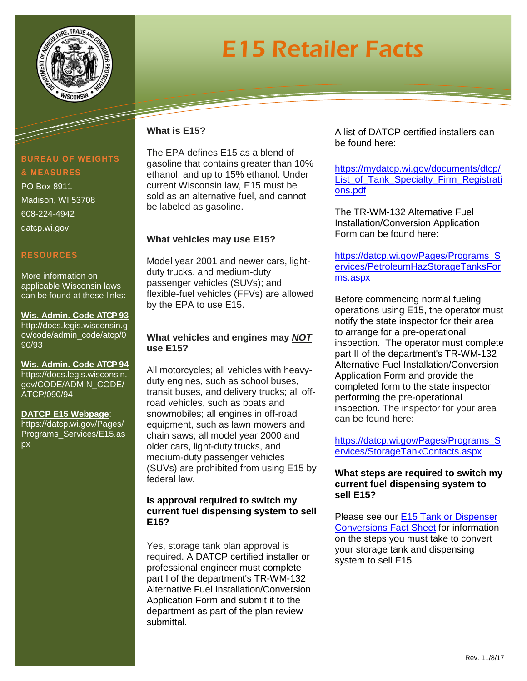

# E15 Retailer Facts

## **What is E15?**

The EPA defines E15 as a blend of gasoline that contains greater than 10% ethanol, and up to 15% ethanol. Under current Wisconsin law, E15 must be sold as an alternative fuel, and cannot be labeled as gasoline.

## **What vehicles may use E15?**

Model year 2001 and newer cars, lightduty trucks, and medium-duty passenger vehicles (SUVs); and flexible-fuel vehicles (FFVs) are allowed by the EPA to use E15.

### **What vehicles and engines may** *NOT* **use E15?**

All motorcycles; all vehicles with heavyduty engines, such as school buses, transit buses, and delivery trucks; all offroad vehicles, such as boats and snowmobiles; all engines in off-road equipment, such as lawn mowers and chain saws; all model year 2000 and older cars, light-duty trucks, and medium-duty passenger vehicles (SUVs) are prohibited from using E15 by federal law.

### **Is approval required to switch my current fuel dispensing system to sell E15?**

Yes, storage tank plan approval is required. A DATCP certified installer or professional engineer must complete part I of the department's TR-WM-132 Alternative Fuel Installation/Conversion Application Form and submit it to the department as part of the plan review submittal.

A list of DATCP certified installers can be found here:

[https://mydatcp.wi.gov/documents/dtcp/](https://mydatcp.wi.gov/documents/dtcp/List_of_Tank_Specialty_Firm_Registrations.pdf) [List\\_of\\_Tank\\_Specialty\\_Firm\\_Registrati](https://mydatcp.wi.gov/documents/dtcp/List_of_Tank_Specialty_Firm_Registrations.pdf) [ons.pdf](https://mydatcp.wi.gov/documents/dtcp/List_of_Tank_Specialty_Firm_Registrations.pdf)

The TR-WM-132 Alternative Fuel Installation/Conversion Application Form can be found here:

[https://datcp.wi.gov/Pages/Programs\\_S](https://datcp.wi.gov/Pages/Programs_Services/PetroleumHazStorageTanksForms.aspx) [ervices/PetroleumHazStorageTanksFor](https://datcp.wi.gov/Pages/Programs_Services/PetroleumHazStorageTanksForms.aspx) [ms.aspx](https://datcp.wi.gov/Pages/Programs_Services/PetroleumHazStorageTanksForms.aspx)

Before commencing normal fueling operations using E15, the operator must notify the state inspector for their area to arrange for a pre-operational inspection. The operator must complete part II of the department's TR-WM-132 Alternative Fuel Installation/Conversion Application Form and provide the completed form to the state inspector performing the pre-operational inspection. The inspector for your area can be found here:

[https://datcp.wi.gov/Pages/Programs\\_S](https://datcp.wi.gov/Pages/Programs_Services/StorageTankContacts.aspx) [ervices/StorageTankContacts.aspx](https://datcp.wi.gov/Pages/Programs_Services/StorageTankContacts.aspx)

#### **What steps are required to switch my current fuel dispensing system to sell E15?**

Please see our [E15 Tank or Dispenser](https://datcp.wi.gov/Documents/E15ConversionsFactSheet.pdf)  [Conversions Fact Sheet](https://datcp.wi.gov/Documents/E15ConversionsFactSheet.pdf) for information on the steps you must take to convert your storage tank and dispensing system to sell E15.

## **BUREAU OF WEIGHTS & MEASURES**

PO Box 8911 Madison, WI 53708 608-224-4942 datcp.wi.gov

## **RESOURCES**

More information on applicable Wisconsin laws can be found at these links:

**Wis. Admin. Code ATCP 93** [http://docs.legis.wisconsin.g](http://docs.legis.wisconsin.gov/code/admin_code/atcp/090/93) [ov/code/admin\\_code/atcp/0](http://docs.legis.wisconsin.gov/code/admin_code/atcp/090/93) [90/93](http://docs.legis.wisconsin.gov/code/admin_code/atcp/090/93)

**Wis. Admin. Code ATCP 94** [https://docs.legis.wisconsin.](https://docs.legis.wisconsin.gov/CODE/ADMIN_CODE/ATCP/090/94) [gov/CODE/ADMIN\\_CODE/](https://docs.legis.wisconsin.gov/CODE/ADMIN_CODE/ATCP/090/94) [ATCP/090/94](https://docs.legis.wisconsin.gov/CODE/ADMIN_CODE/ATCP/090/94)

**DATCP E15 Webpage**: https://datcp.wi.gov/Pages/ Programs\_Services/E15.as px